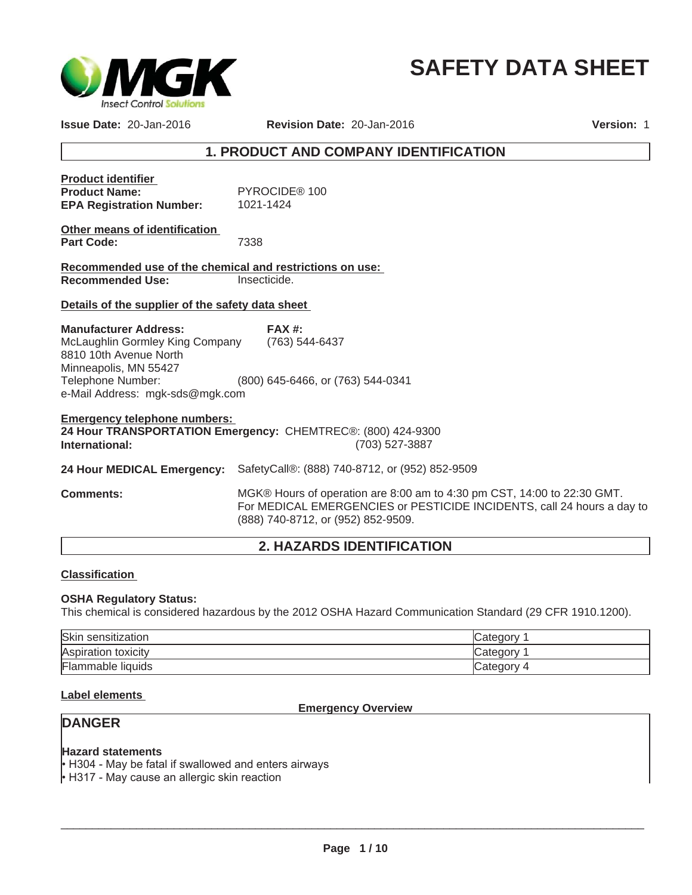

# **SAFETY DATA SHEET**

**Issue Date:** 20-Jan-2016

**Revision Date:** 20-Jan-2016

**Version:** 1

# **1. PRODUCT AND COMPANY IDENTIFICATION**

| <b>Product identifier</b>       |               |
|---------------------------------|---------------|
| <b>Product Name:</b>            | PYROCIDE® 100 |
| <b>EPA Registration Number:</b> | 1021-1424     |

| Other means of identification |      |
|-------------------------------|------|
| Part Code:                    | 7338 |

**Recommended use of the chemical and restrictions on use: Recommended Use:** Insecticide.

#### **Details of the supplier of the safety data sheet**

Telephone Number: (800) 645-6466, or (763) 544-0341 e-Mail Address: mgk-sds@mgk.com **Manufacturer Address:** McLaughlin Gormley King Company 8810 10th Avenue North Minneapolis, MN 55427 **FAX #:** (763) 544-6437

## **Emergency telephone numbers: 24 Hour TRANSPORTATION Emergency:** CHEMTREC®: (800) 424-9300 **International:** (703) 527-3887

**24 Hour MEDICAL Emergency:** SafetyCall®: (888) 740-8712, or (952) 852-9509

**Comments:** MGK® Hours of operation are 8:00 am to 4:30 pm CST, 14:00 to 22:30 GMT. For MEDICAL EMERGENCIES or PESTICIDE INCIDENTS, call 24 hours a day to (888) 740-8712, or (952) 852-9509.

# **2. HAZARDS IDENTIFICATION**

#### **Classification**

#### **OSHA Regulatory Status:**

This chemical is considered hazardous by the 2012 OSHA Hazard Communication Standard (29 CFR 1910.1200).

| Skin<br>sensitization | ∵ ategoryب |
|-----------------------|------------|
| Aspiration toxicity   | Category   |
| Flammable liquids     | 2 ategory— |

### **Label elements**

**Emergency Overview**

# **DANGER**

#### **Hazard statements**

H304 - May be fatal if swallowed and enters airways

 $\cdot$  H317 - May cause an allergic skin reaction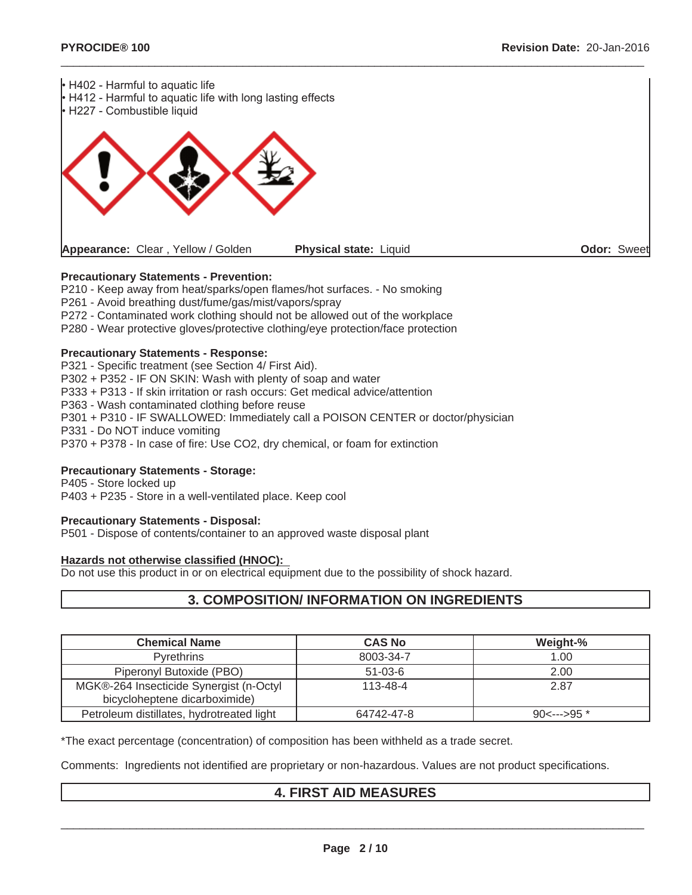

## **Precautionary Statements - Prevention:**

P210 - Keep away from heat/sparks/open flames/hot surfaces. - No smoking

P261 - Avoid breathing dust/fume/gas/mist/vapors/spray

P272 - Contaminated work clothing should not be allowed out of the workplace

P280 - Wear protective gloves/protective clothing/eye protection/face protection

#### **Precautionary Statements - Response:**

P321 - Specific treatment (see Section 4/ First Aid). P302 + P352 - IF ON SKIN: Wash with plenty of soap and water P333 + P313 - If skin irritation or rash occurs: Get medical advice/attention P363 - Wash contaminated clothing before reuse P301 + P310 - IF SWALLOWED: Immediately call a POISON CENTER or doctor/physician P331 - Do NOT induce vomiting P370 + P378 - In case of fire: Use CO2, dry chemical, or foam for extinction

#### **Precautionary Statements - Storage:**

P405 - Store locked up P403 + P235 - Store in a well-ventilated place. Keep cool

#### **Precautionary Statements - Disposal:**

P501 - Dispose of contents/container to an approved waste disposal plant

#### **Hazards not otherwise classified (HNOC):**

Do not use this product in or on electrical equipment due to the possibility of shock hazard.

# **3. COMPOSITION/ INFORMATION ON INGREDIENTS**

| <b>Chemical Name</b>                      | <b>CAS No</b>  | Weight-%              |
|-------------------------------------------|----------------|-----------------------|
| <b>Pyrethrins</b>                         | 8003-34-7      | 1.00                  |
| Piperonyl Butoxide (PBO)                  | $51 - 03 - 6$  | 2.00                  |
| MGK®-264 Insecticide Synergist (n-Octyl   | $113 - 48 - 4$ | 2.87                  |
| bicycloheptene dicarboximide)             |                |                       |
| Petroleum distillates, hydrotreated light | 64742-47-8     | $90<\rightarrow 95$ * |

\*The exact percentage (concentration) of composition has been withheld as a trade secret.

Comments: Ingredients not identified are proprietary or non-hazardous. Values are not product specifications.

# **4. FIRST AID MEASURES**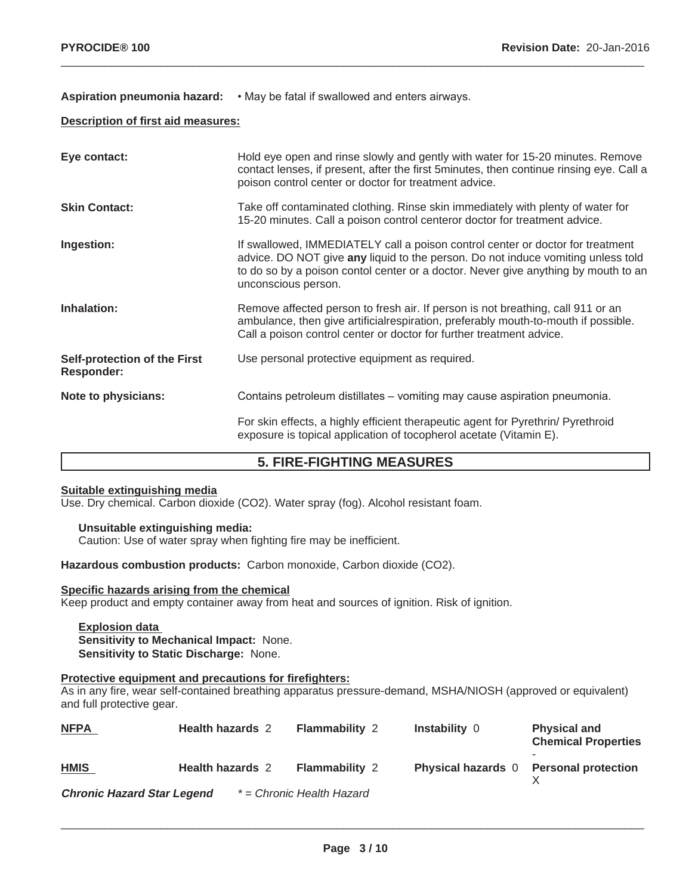## Aspiration pneumonia hazard: • May be fatal if swallowed and enters airways.

## **Description of first aid measures:**

| Eye contact:                                      | Hold eye open and rinse slowly and gently with water for 15-20 minutes. Remove<br>contact lenses, if present, after the first 5minutes, then continue rinsing eye. Call a<br>poison control center or doctor for treatment advice.                                              |
|---------------------------------------------------|---------------------------------------------------------------------------------------------------------------------------------------------------------------------------------------------------------------------------------------------------------------------------------|
| <b>Skin Contact:</b>                              | Take off contaminated clothing. Rinse skin immediately with plenty of water for<br>15-20 minutes. Call a poison control centeror doctor for treatment advice.                                                                                                                   |
| Ingestion:                                        | If swallowed, IMMEDIATELY call a poison control center or doctor for treatment<br>advice. DO NOT give any liquid to the person. Do not induce vomiting unless told<br>to do so by a poison contol center or a doctor. Never give anything by mouth to an<br>unconscious person. |
| Inhalation:                                       | Remove affected person to fresh air. If person is not breathing, call 911 or an<br>ambulance, then give artificialrespiration, preferably mouth-to-mouth if possible.<br>Call a poison control center or doctor for further treatment advice.                                   |
| Self-protection of the First<br><b>Responder:</b> | Use personal protective equipment as required.                                                                                                                                                                                                                                  |
| Note to physicians:                               | Contains petroleum distillates – vomiting may cause aspiration pneumonia.                                                                                                                                                                                                       |
|                                                   | For skin effects, a highly efficient therapeutic agent for Pyrethrin/ Pyrethroid<br>exposure is topical application of tocopherol acetate (Vitamin E).                                                                                                                          |

 $\_$  ,  $\_$  ,  $\_$  ,  $\_$  ,  $\_$  ,  $\_$  ,  $\_$  ,  $\_$  ,  $\_$  ,  $\_$  ,  $\_$  ,  $\_$  ,  $\_$  ,  $\_$  ,  $\_$  ,  $\_$  ,  $\_$  ,  $\_$  ,  $\_$  ,  $\_$  ,  $\_$  ,  $\_$  ,  $\_$  ,  $\_$  ,  $\_$  ,  $\_$  ,  $\_$  ,  $\_$  ,  $\_$  ,  $\_$  ,  $\_$  ,  $\_$  ,  $\_$  ,  $\_$  ,  $\_$  ,  $\_$  ,  $\_$  ,

# **5. FIRE-FIGHTING MEASURES**

## **Suitable extinguishing media**

Use. Dry chemical. Carbon dioxide (CO2). Water spray (fog). Alcohol resistant foam.

#### **Unsuitable extinguishing media:**

Caution: Use of water spray when fighting fire may be inefficient.

**Hazardous combustion products:** Carbon monoxide, Carbon dioxide (CO2).

## **Specific hazards arising from the chemical**

Keep product and empty container away from heat and sources of ignition. Risk of ignition.

**Explosion data Sensitivity to Mechanical Impact:** None. **Sensitivity to Static Discharge:** None.

## **Protective equipment and precautions for firefighters:**

As in any fire, wear self-contained breathing apparatus pressure-demand, MSHA/NIOSH (approved or equivalent) and full protective gear.

| <b>NFPA</b>                       | <b>Health hazards 2</b> | <b>Flammability 2</b>     | <b>Instability 0</b>      | <b>Physical and</b><br><b>Chemical Properties</b> |
|-----------------------------------|-------------------------|---------------------------|---------------------------|---------------------------------------------------|
| <b>HMIS</b>                       | <b>Health hazards 2</b> | <b>Flammability 2</b>     | <b>Physical hazards</b> 0 | <b>Personal protection</b>                        |
| <b>Chronic Hazard Star Legend</b> |                         | * = Chronic Health Hazard |                           |                                                   |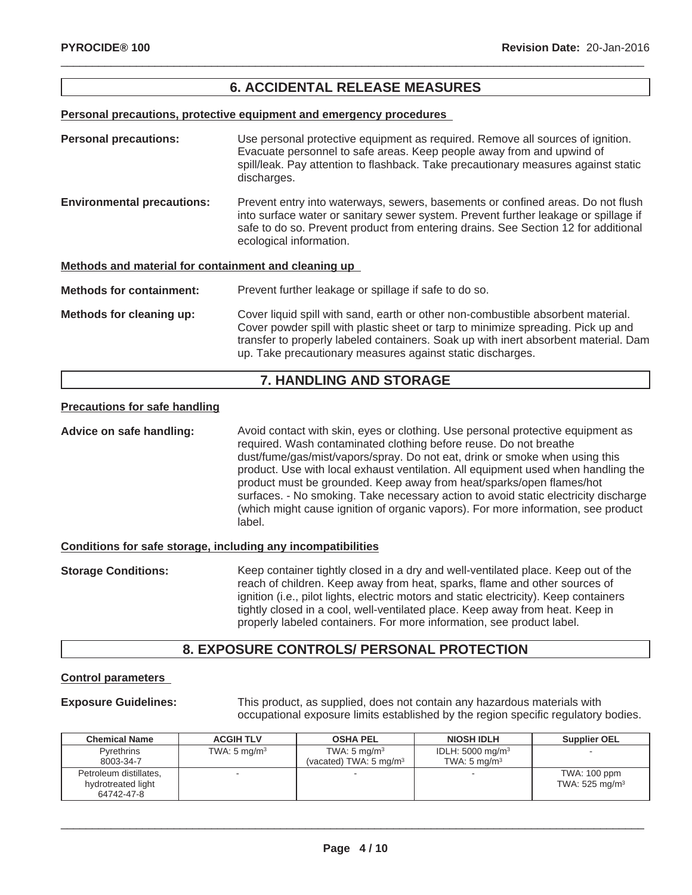# **6. ACCIDENTAL RELEASE MEASURES**

 $\_$  ,  $\_$  ,  $\_$  ,  $\_$  ,  $\_$  ,  $\_$  ,  $\_$  ,  $\_$  ,  $\_$  ,  $\_$  ,  $\_$  ,  $\_$  ,  $\_$  ,  $\_$  ,  $\_$  ,  $\_$  ,  $\_$  ,  $\_$  ,  $\_$  ,  $\_$  ,  $\_$  ,  $\_$  ,  $\_$  ,  $\_$  ,  $\_$  ,  $\_$  ,  $\_$  ,  $\_$  ,  $\_$  ,  $\_$  ,  $\_$  ,  $\_$  ,  $\_$  ,  $\_$  ,  $\_$  ,  $\_$  ,  $\_$  ,

**Personal precautions, protective equipment and emergency procedures**

| <b>Personal precautions:</b>                         | Use personal protective equipment as required. Remove all sources of ignition.<br>Evacuate personnel to safe areas. Keep people away from and upwind of<br>spill/leak. Pay attention to flashback. Take precautionary measures against static<br>discharges.                                                              |
|------------------------------------------------------|---------------------------------------------------------------------------------------------------------------------------------------------------------------------------------------------------------------------------------------------------------------------------------------------------------------------------|
| <b>Environmental precautions:</b>                    | Prevent entry into waterways, sewers, basements or confined areas. Do not flush<br>into surface water or sanitary sewer system. Prevent further leakage or spillage if<br>safe to do so. Prevent product from entering drains. See Section 12 for additional<br>ecological information.                                   |
| Methods and material for containment and cleaning up |                                                                                                                                                                                                                                                                                                                           |
| <b>Methods for containment:</b>                      | Prevent further leakage or spillage if safe to do so.                                                                                                                                                                                                                                                                     |
| Methods for cleaning up:                             | Cover liquid spill with sand, earth or other non-combustible absorbent material.<br>Cover powder spill with plastic sheet or tarp to minimize spreading. Pick up and<br>transfer to properly labeled containers. Soak up with inert absorbent material. Dam<br>up. Take precautionary measures against static discharges. |

# **7. HANDLING AND STORAGE**

## **Precautions for safe handling**

**Advice on safe handling:** Avoid contact with skin, eyes or clothing. Use personal protective equipment as required. Wash contaminated clothing before reuse. Do not breathe dust/fume/gas/mist/vapors/spray. Do not eat, drink or smoke when using this product. Use with local exhaust ventilation. All equipment used when handling the product must be grounded. Keep away from heat/sparks/open flames/hot surfaces. - No smoking. Take necessary action to avoid static electricity discharge (which might cause ignition of organic vapors). For more information, see product label.

#### **Conditions for safe storage, including any incompatibilities**

**Storage Conditions:** Keep container tightly closed in a dry and well-ventilated place. Keep out of the reach of children. Keep away from heat, sparks, flame and other sources of ignition (i.e., pilot lights, electric motors and static electricity). Keep containers tightly closed in a cool, well-ventilated place. Keep away from heat. Keep in properly labeled containers. For more information, see product label.

# **8. EXPOSURE CONTROLS/ PERSONAL PROTECTION**

#### **Control parameters**

**Exposure Guidelines:** This product, as supplied, does not contain any hazardous materials with occupational exposure limits established by the region specific regulatory bodies.

| <b>Chemical Name</b>                                       | <b>ACGIH TLV</b>        | <b>OSHA PEL</b>                                              | <b>NIOSH IDLH</b>                                      | <b>Supplier OEL</b>                          |
|------------------------------------------------------------|-------------------------|--------------------------------------------------------------|--------------------------------------------------------|----------------------------------------------|
| Pyrethrins<br>8003-34-7                                    | TWA: $5 \text{ mg/m}^3$ | TWA: $5 \text{ mg/m}^3$<br>(vacated) TWA: $5 \text{ mg/m}^3$ | IDLH: $5000 \text{ mg/m}^3$<br>TWA: $5 \text{ mg/m}^3$ |                                              |
| Petroleum distillates,<br>hydrotreated light<br>64742-47-8 |                         |                                                              |                                                        | TWA: 100 ppm<br>TWA: $525$ mg/m <sup>3</sup> |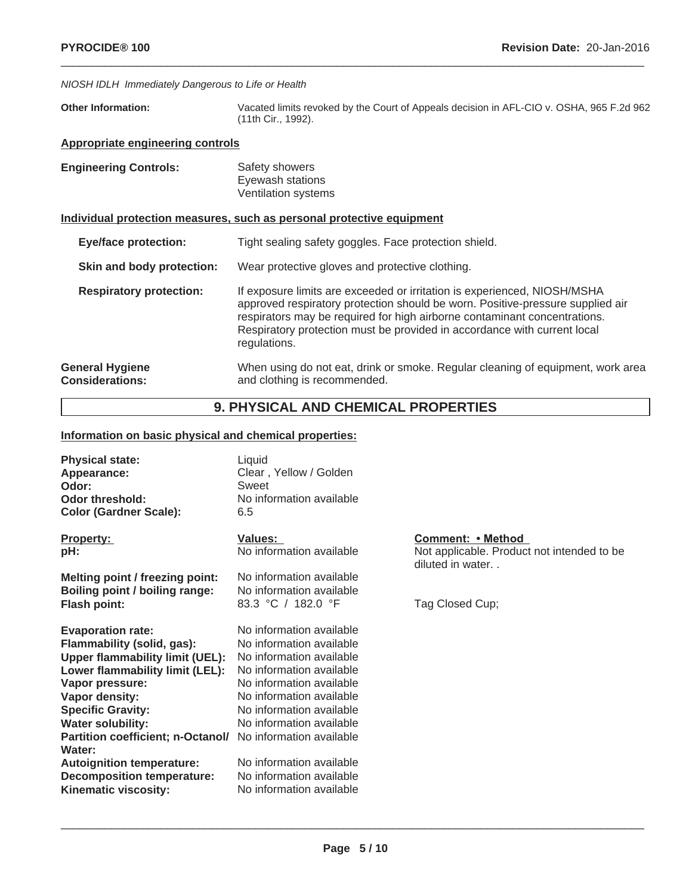#### *NIOSH IDLH Immediately Dangerous to Life or Health*

**Other Information:** Vacated limits revoked by the Court of Appeals decision in AFL-CIO v. OSHA, 965 F.2d 962 (11th Cir., 1992).

 $\_$  ,  $\_$  ,  $\_$  ,  $\_$  ,  $\_$  ,  $\_$  ,  $\_$  ,  $\_$  ,  $\_$  ,  $\_$  ,  $\_$  ,  $\_$  ,  $\_$  ,  $\_$  ,  $\_$  ,  $\_$  ,  $\_$  ,  $\_$  ,  $\_$  ,  $\_$  ,  $\_$  ,  $\_$  ,  $\_$  ,  $\_$  ,  $\_$  ,  $\_$  ,  $\_$  ,  $\_$  ,  $\_$  ,  $\_$  ,  $\_$  ,  $\_$  ,  $\_$  ,  $\_$  ,  $\_$  ,  $\_$  ,  $\_$  ,

## **Appropriate engineering controls**

| <b>Engineering Controls:</b> | Safety showers      |
|------------------------------|---------------------|
|                              | Eyewash stations    |
|                              | Ventilation systems |

## **Individual protection measures, such as personal protective equipment**

| <b>Eye/face protection:</b>                      | Tight sealing safety goggles. Face protection shield.                                                                                                                                                                                                                                                                               |
|--------------------------------------------------|-------------------------------------------------------------------------------------------------------------------------------------------------------------------------------------------------------------------------------------------------------------------------------------------------------------------------------------|
| Skin and body protection:                        | Wear protective gloves and protective clothing.                                                                                                                                                                                                                                                                                     |
| <b>Respiratory protection:</b>                   | If exposure limits are exceeded or irritation is experienced, NIOSH/MSHA<br>approved respiratory protection should be worn. Positive-pressure supplied air<br>respirators may be required for high airborne contaminant concentrations.<br>Respiratory protection must be provided in accordance with current local<br>regulations. |
| <b>General Hygiene</b><br><b>Considerations:</b> | When using do not eat, drink or smoke. Regular cleaning of equipment, work area<br>and clothing is recommended.                                                                                                                                                                                                                     |

# **9. PHYSICAL AND CHEMICAL PROPERTIES**

# **Information on basic physical and chemical properties:**

| <b>Physical state:</b><br>Appearance:<br>Odor:<br><b>Odor threshold:</b><br><b>Color (Gardner Scale):</b>                                                                                                                                                                                         | Liquid<br>Clear, Yellow / Golden<br>Sweet<br>No information available<br>6.5                                                                                                                                                 |                                                                                     |
|---------------------------------------------------------------------------------------------------------------------------------------------------------------------------------------------------------------------------------------------------------------------------------------------------|------------------------------------------------------------------------------------------------------------------------------------------------------------------------------------------------------------------------------|-------------------------------------------------------------------------------------|
| <b>Property:</b><br>pH:                                                                                                                                                                                                                                                                           | Values:<br>No information available                                                                                                                                                                                          | Comment: • Method<br>Not applicable. Product not intended to be<br>diluted in water |
| Melting point / freezing point:<br>Boiling point / boiling range:<br><b>Flash point:</b>                                                                                                                                                                                                          | No information available<br>No information available<br>83.3 °C / 182.0 °F                                                                                                                                                   | Tag Closed Cup;                                                                     |
| <b>Evaporation rate:</b><br>Flammability (solid, gas):<br>Upper flammability limit (UEL):<br>Lower flammability limit (LEL):<br>Vapor pressure:<br>Vapor density:<br><b>Specific Gravity:</b><br><b>Water solubility:</b><br>Partition coefficient; n-Octanol/ No information available<br>Water: | No information available<br>No information available<br>No information available<br>No information available<br>No information available<br>No information available<br>No information available<br>No information available |                                                                                     |
| <b>Autoignition temperature:</b><br><b>Decomposition temperature:</b><br>Kinematic viscosity:                                                                                                                                                                                                     | No information available<br>No information available<br>No information available                                                                                                                                             |                                                                                     |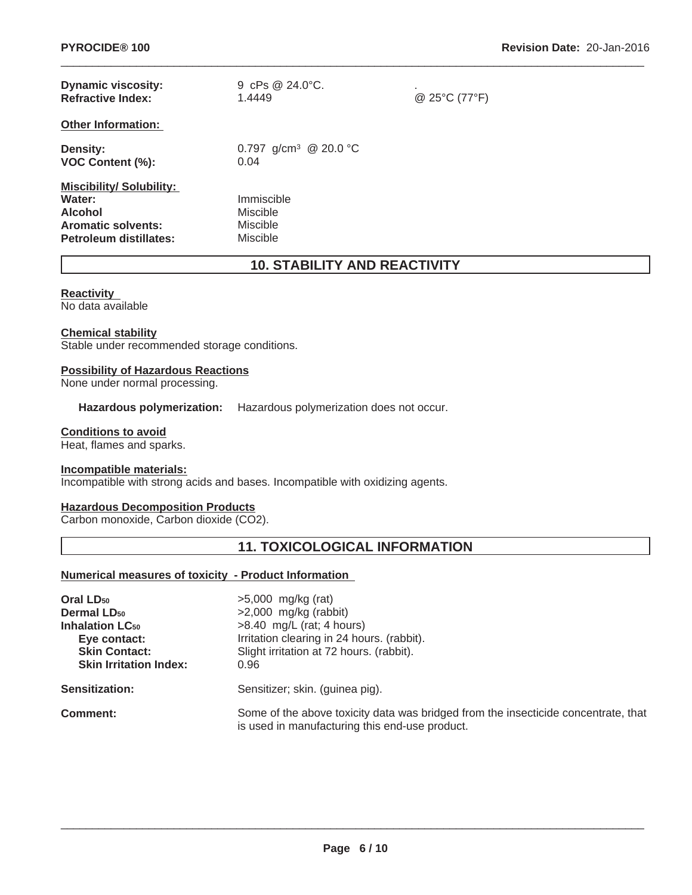| <b>Dynamic viscosity:</b><br><b>Refractive Index:</b>                                                             | 9 cPs $@24.0^{\circ}C$ .<br>1.4449             | ٠.<br>@ 25°C (77°F) |
|-------------------------------------------------------------------------------------------------------------------|------------------------------------------------|---------------------|
| <b>Other Information:</b>                                                                                         |                                                |                     |
| <b>Density:</b><br><b>VOC Content (%):</b>                                                                        | 0.797 g/cm <sup>3</sup> @ 20.0 °C<br>0.04      |                     |
| <b>Miscibility/Solubility:</b><br>Water:<br><b>Alcohol</b><br><b>Aromatic solvents:</b><br>Petroleum distillates: | Immiscible<br>Miscible<br>Miscible<br>Miscible |                     |

# **10. STABILITY AND REACTIVITY**

 $\_$  ,  $\_$  ,  $\_$  ,  $\_$  ,  $\_$  ,  $\_$  ,  $\_$  ,  $\_$  ,  $\_$  ,  $\_$  ,  $\_$  ,  $\_$  ,  $\_$  ,  $\_$  ,  $\_$  ,  $\_$  ,  $\_$  ,  $\_$  ,  $\_$  ,  $\_$  ,  $\_$  ,  $\_$  ,  $\_$  ,  $\_$  ,  $\_$  ,  $\_$  ,  $\_$  ,  $\_$  ,  $\_$  ,  $\_$  ,  $\_$  ,  $\_$  ,  $\_$  ,  $\_$  ,  $\_$  ,  $\_$  ,  $\_$  ,

#### **Reactivity**

No data available

## **Chemical stability**

Stable under recommended storage conditions.

#### **Possibility of Hazardous Reactions**

None under normal processing.

**Hazardous polymerization:** Hazardous polymerization does not occur.

#### **Conditions to avoid**

Heat, flames and sparks.

#### **Incompatible materials:**

Incompatible with strong acids and bases. Incompatible with oxidizing agents.

## **Hazardous Decomposition Products**

Carbon monoxide, Carbon dioxide (CO2).

# **11. TOXICOLOGICAL INFORMATION**

## **Numerical measures of toxicity - Product Information**

| Oral LD <sub>50</sub><br><b>Dermal LD<sub>50</sub></b><br><b>Inhalation LC<sub>50</sub></b><br>Eye contact:<br><b>Skin Contact:</b><br><b>Skin Irritation Index:</b> | $>5,000$ mg/kg (rat)<br>$>2,000$ mg/kg (rabbit)<br>$>8.40$ mg/L (rat; 4 hours)<br>Irritation clearing in 24 hours. (rabbit).<br>Slight irritation at 72 hours. (rabbit).<br>0.96 |
|----------------------------------------------------------------------------------------------------------------------------------------------------------------------|----------------------------------------------------------------------------------------------------------------------------------------------------------------------------------|
| <b>Sensitization:</b>                                                                                                                                                | Sensitizer; skin. (guinea pig).                                                                                                                                                  |
| <b>Comment:</b>                                                                                                                                                      | Some of the above toxicity data was bridged from the insecticide concentrate, that<br>is used in manufacturing this end-use product.                                             |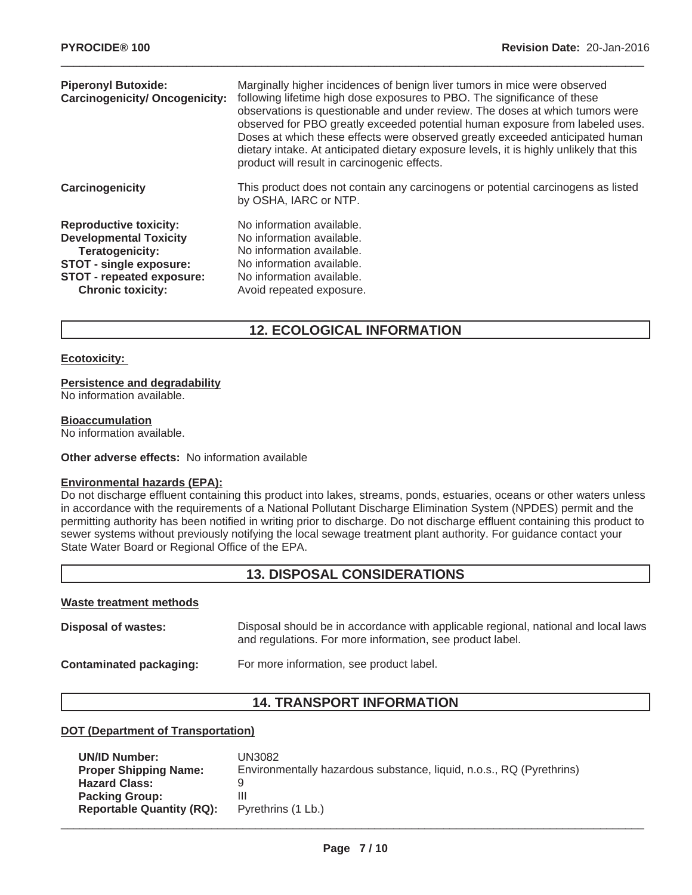| <b>Piperonyl Butoxide:</b><br><b>Carcinogenicity/ Oncogenicity:</b>                                                                                                                 | Marginally higher incidences of benign liver tumors in mice were observed<br>following lifetime high dose exposures to PBO. The significance of these<br>observations is questionable and under review. The doses at which tumors were<br>observed for PBO greatly exceeded potential human exposure from labeled uses.<br>Doses at which these effects were observed greatly exceeded anticipated human<br>dietary intake. At anticipated dietary exposure levels, it is highly unlikely that this<br>product will result in carcinogenic effects. |
|-------------------------------------------------------------------------------------------------------------------------------------------------------------------------------------|-----------------------------------------------------------------------------------------------------------------------------------------------------------------------------------------------------------------------------------------------------------------------------------------------------------------------------------------------------------------------------------------------------------------------------------------------------------------------------------------------------------------------------------------------------|
| Carcinogenicity                                                                                                                                                                     | This product does not contain any carcinogens or potential carcinogens as listed<br>by OSHA, IARC or NTP.                                                                                                                                                                                                                                                                                                                                                                                                                                           |
| <b>Reproductive toxicity:</b><br><b>Developmental Toxicity</b><br><b>Teratogenicity:</b><br><b>STOT - single exposure:</b><br>STOT - repeated exposure:<br><b>Chronic toxicity:</b> | No information available.<br>No information available.<br>No information available.<br>No information available.<br>No information available.<br>Avoid repeated exposure.                                                                                                                                                                                                                                                                                                                                                                           |

# **12. ECOLOGICAL INFORMATION**

#### **Ecotoxicity:**

#### **Persistence and degradability**

No information available.

#### **Bioaccumulation**

No information available.

#### **Other adverse effects:** No information available

#### **Environmental hazards (EPA):**

Do not discharge effluent containing this product into lakes, streams, ponds, estuaries, oceans or other waters unless in accordance with the requirements of a National Pollutant Discharge Elimination System (NPDES) permit and the permitting authority has been notified in writing prior to discharge. Do not discharge effluent containing this product to sewer systems without previously notifying the local sewage treatment plant authority. For guidance contact your State Water Board or Regional Office of the EPA.

# **13. DISPOSAL CONSIDERATIONS**

#### **Waste treatment methods**

| Disposal of wastes:     | Disposal should be in accordance with applicable regional, national and local laws<br>and regulations. For more information, see product label. |
|-------------------------|-------------------------------------------------------------------------------------------------------------------------------------------------|
| Contaminated packaging: | For more information, see product label.                                                                                                        |

# **14. TRANSPORT INFORMATION**

## **DOT (Department of Transportation)**

| <b>UN/ID Number:</b>             | UN3082                                                               |
|----------------------------------|----------------------------------------------------------------------|
| <b>Proper Shipping Name:</b>     | Environmentally hazardous substance, liquid, n.o.s., RQ (Pyrethrins) |
| <b>Hazard Class:</b>             |                                                                      |
| <b>Packing Group:</b>            | Ш                                                                    |
| <b>Reportable Quantity (RQ):</b> | Pyrethrins (1 Lb.)                                                   |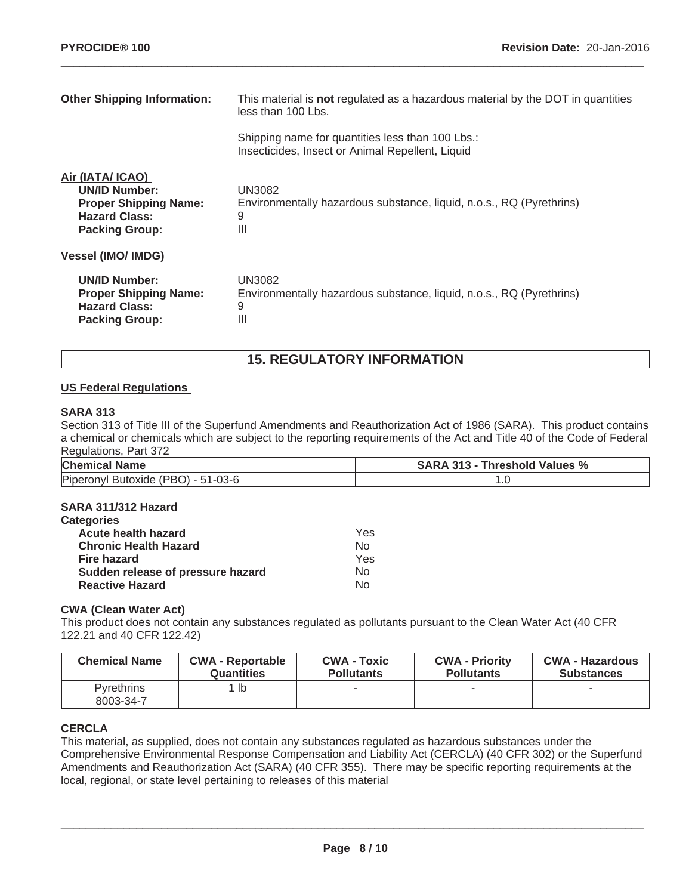| <b>Other Shipping Information:</b>                                                                                        | This material is not regulated as a hazardous material by the DOT in quantities<br>less than 100 Lbs. |  |
|---------------------------------------------------------------------------------------------------------------------------|-------------------------------------------------------------------------------------------------------|--|
|                                                                                                                           | Shipping name for quantities less than 100 Lbs.:<br>Insecticides, Insect or Animal Repellent, Liquid  |  |
| Air (IATA/ ICAO)<br><b>UN/ID Number:</b><br><b>Proper Shipping Name:</b><br><b>Hazard Class:</b><br><b>Packing Group:</b> | <b>UN3082</b><br>Environmentally hazardous substance, liquid, n.o.s., RQ (Pyrethrins)<br>9<br>Ш       |  |
| <b>Vessel (IMO/ IMDG)</b>                                                                                                 |                                                                                                       |  |
| <b>UN/ID Number:</b><br><b>Proper Shipping Name:</b><br><b>Hazard Class:</b><br><b>Packing Group:</b>                     | UN3082<br>Environmentally hazardous substance, liquid, n.o.s., RQ (Pyrethrins)<br>9<br>Ш              |  |

# **15. REGULATORY INFORMATION**

## **US Federal Regulations**

# **SARA 313**

Section 313 of Title III of the Superfund Amendments and Reauthorization Act of 1986 (SARA). This product contains a chemical or chemicals which are subject to the reporting requirements of the Act and Title 40 of the Code of Federal Regulations, Part 372

| <b>Chemical Name</b>               | <b>SARA 313 - Threshold Values %</b> |
|------------------------------------|--------------------------------------|
| Piperonyl Butoxide (PBO) - 51-03-6 |                                      |

## **SARA 311/312 Hazard**

| <b>Categories</b>                 |     |
|-----------------------------------|-----|
| Acute health hazard               | Yes |
| <b>Chronic Health Hazard</b>      | Nο  |
| <b>Fire hazard</b>                | Yes |
| Sudden release of pressure hazard | Nο  |
| <b>Reactive Hazard</b>            | N٥  |

## **CWA (Clean Water Act)**

This product does not contain any substances regulated as pollutants pursuant to the Clean Water Act (40 CFR 122.21 and 40 CFR 122.42)

| <b>Chemical Name</b>           | <b>CWA - Reportable</b> | <b>CWA - Toxic</b> | <b>CWA - Priority</b> | <b>CWA - Hazardous</b> |
|--------------------------------|-------------------------|--------------------|-----------------------|------------------------|
|                                | <b>Quantities</b>       | <b>Pollutants</b>  | <b>Pollutants</b>     | <b>Substances</b>      |
| <b>Pyrethrins</b><br>8003-34-7 | ∣ lb                    |                    | -                     |                        |

## **CERCLA**

This material, as supplied, does not contain any substances regulated as hazardous substances under the Comprehensive Environmental Response Compensation and Liability Act (CERCLA) (40 CFR 302) or the Superfund Amendments and Reauthorization Act (SARA) (40 CFR 355). There may be specific reporting requirements at the local, regional, or state level pertaining to releases of this material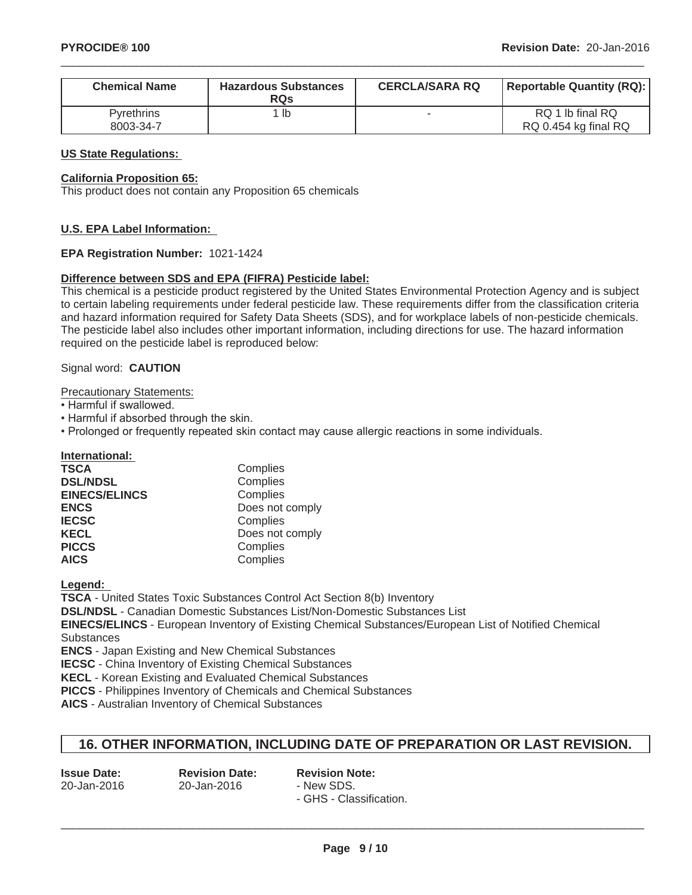| <b>Chemical Name</b>    | <b>Hazardous Substances</b><br><b>RQs</b> | <b>CERCLA/SARA RQ</b> | <b>Reportable Quantity (RQ):</b>         |
|-------------------------|-------------------------------------------|-----------------------|------------------------------------------|
| Pyrethrins<br>8003-34-7 | ∣ lb                                      |                       | RQ 1 lb final RQ<br>RQ 0.454 kg final RQ |

#### **US State Regulations:**

#### **California Proposition 65:**

This product does not contain any Proposition 65 chemicals

#### **U.S. EPA Label Information:**

#### **EPA Registration Number:** 1021-1424

#### **Difference between SDS and EPA (FIFRA) Pesticide label:**

This chemical is a pesticide product registered by the United States Environmental Protection Agency and is subject to certain labeling requirements under federal pesticide law. These requirements differ from the classification criteria and hazard information required for Safety Data Sheets (SDS), and for workplace labels of non-pesticide chemicals. The pesticide label also includes other important information, including directions for use. The hazard information required on the pesticide label is reproduced below:

## Signal word: **CAUTION**

Precautionary Statements:

- Harmful if swallowed.
- Harmful if absorbed through the skin.
- Prolonged or frequently repeated skin contact may cause allergic reactions in some individuals.

**International:**

| <b>TSCA</b>          | Complies        |
|----------------------|-----------------|
| <b>DSL/NDSL</b>      | Complies        |
| <b>EINECS/ELINCS</b> | Complies        |
| <b>ENCS</b>          | Does not comply |
| <b>IECSC</b>         | Complies        |
| <b>KECL</b>          | Does not comply |
| <b>PICCS</b>         | Complies        |
| <b>AICS</b>          | Complies        |

**Legend:**

**TSCA** - United States Toxic Substances Control Act Section 8(b) Inventory

**DSL/NDSL** - Canadian Domestic Substances List/Non-Domestic Substances List

**EINECS/ELINCS** - European Inventory of Existing Chemical Substances/European List of Notified Chemical Substances

**ENCS** - Japan Existing and New Chemical Substances

**IECSC** - China Inventory of Existing Chemical Substances

**KECL** - Korean Existing and Evaluated Chemical Substances

**PICCS** - Philippines Inventory of Chemicals and Chemical Substances

**AICS** - Australian Inventory of Chemical Substances

## **16. OTHER INFORMATION, INCLUDING DATE OF PREPARATION OR LAST REVISION.**

| <b>Issue Date:</b> | <b>Revision Date:</b> | <b>Revision Note:</b>   |
|--------------------|-----------------------|-------------------------|
| 20-Jan-2016        | 20-Jan-2016           | - New SDS.              |
|                    |                       | - GHS - Classification. |